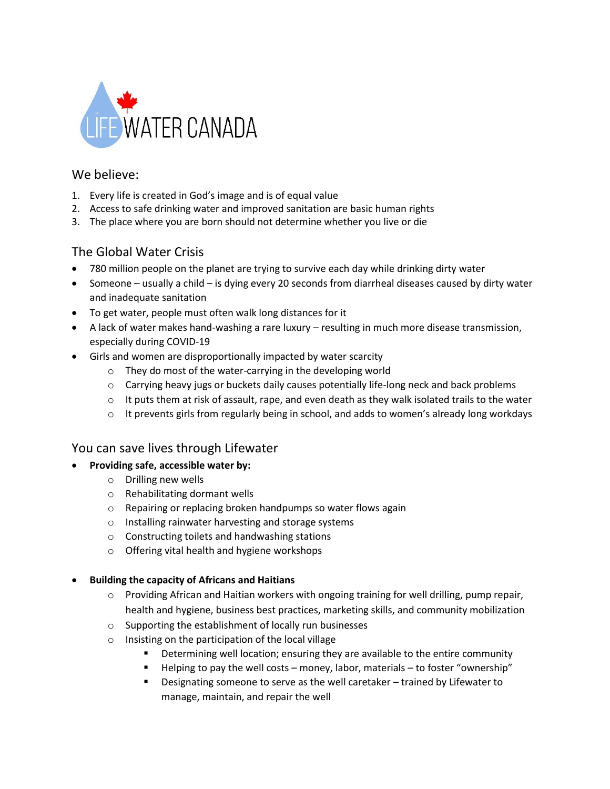

## We believe:

- 1. Every life is created in God's image and is of equal value
- 2. Access to safe drinking water and improved sanitation are basic human rights
- 3. The place where you are born should not determine whether you live or die

## The Global Water Crisis

- 780 million people on the planet are trying to survive each day while drinking dirty water
- Someone usually a child is dying every 20 seconds from diarrheal diseases caused by dirty water and inadequate sanitation
- To get water, people must often walk long distances for it
- A lack of water makes hand-washing a rare luxury resulting in much more disease transmission, especially during COVID-19
- Girls and women are disproportionally impacted by water scarcity
	- o They do most of the water-carrying in the developing world
	- $\circ$  Carrying heavy jugs or buckets daily causes potentially life-long neck and back problems
	- $\circ$  It puts them at risk of assault, rape, and even death as they walk isolated trails to the water
	- $\circ$  It prevents girls from regularly being in school, and adds to women's already long workdays

## You can save lives through Lifewater

#### • **Providing safe, accessible water by:**

- o Drilling new wells
- o Rehabilitating dormant wells
- o Repairing or replacing broken handpumps so water flows again
- o Installing rainwater harvesting and storage systems
- o Constructing toilets and handwashing stations
- o Offering vital health and hygiene workshops

#### • **Building the capacity of Africans and Haitians**

- $\circ$  Providing African and Haitian workers with ongoing training for well drilling, pump repair, health and hygiene, business best practices, marketing skills, and community mobilization
- o Supporting the establishment of locally run businesses
- o Insisting on the participation of the local village
	- **•** Determining well location; ensuring they are available to the entire community
	- Helping to pay the well costs money, labor, materials to foster "ownership"
	- Designating someone to serve as the well caretaker trained by Lifewater to manage, maintain, and repair the well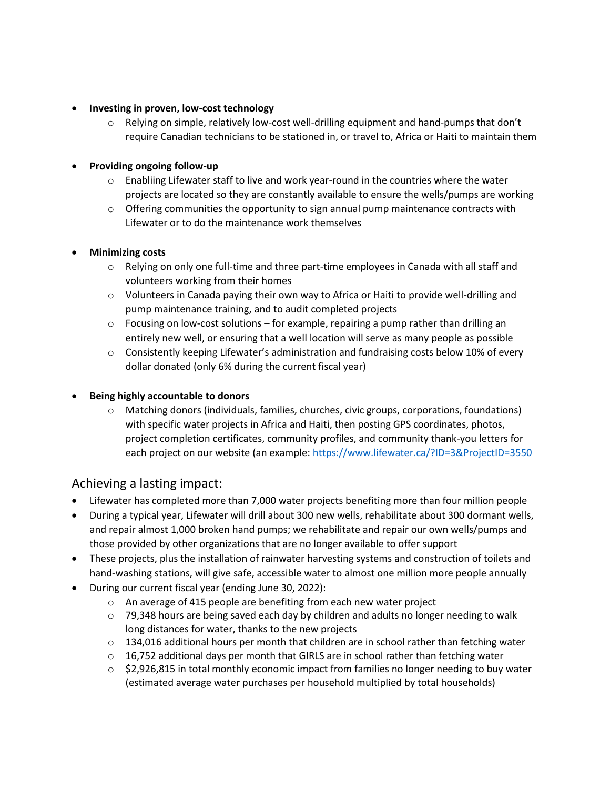#### • **Investing in proven, low-cost technology**

 $\circ$  Relying on simple, relatively low-cost well-drilling equipment and hand-pumps that don't require Canadian technicians to be stationed in, or travel to, Africa or Haiti to maintain them

#### • **Providing ongoing follow-up**

- $\circ$  Enabliing Lifewater staff to live and work year-round in the countries where the water projects are located so they are constantly available to ensure the wells/pumps are working
- $\circ$  Offering communities the opportunity to sign annual pump maintenance contracts with Lifewater or to do the maintenance work themselves

#### • **Minimizing costs**

- o Relying on only one full-time and three part-time employees in Canada with all staff and volunteers working from their homes
- o Volunteers in Canada paying their own way to Africa or Haiti to provide well-drilling and pump maintenance training, and to audit completed projects
- $\circ$  Focusing on low-cost solutions for example, repairing a pump rather than drilling an entirely new well, or ensuring that a well location will serve as many people as possible
- $\circ$  Consistently keeping Lifewater's administration and fundraising costs below 10% of every dollar donated (only 6% during the current fiscal year)

#### • **Being highly accountable to donors**

o Matching donors (individuals, families, churches, civic groups, corporations, foundations) with specific water projects in Africa and Haiti, then posting GPS coordinates, photos, project completion certificates, community profiles, and community thank-you letters for each project on our website (an example:<https://www.lifewater.ca/?ID=3&ProjectID=3550>

### Achieving a lasting impact:

- Lifewater has completed more than 7,000 water projects benefiting more than four million people
- During a typical year, Lifewater will drill about 300 new wells, rehabilitate about 300 dormant wells, and repair almost 1,000 broken hand pumps; we rehabilitate and repair our own wells/pumps and those provided by other organizations that are no longer available to offer support
- These projects, plus the installation of rainwater harvesting systems and construction of toilets and hand-washing stations, will give safe, accessible water to almost one million more people annually
- During our current fiscal year (ending June 30, 2022):
	- o An average of 415 people are benefiting from each new water project
	- $\circ$  79,348 hours are being saved each day by children and adults no longer needing to walk long distances for water, thanks to the new projects
	- $\circ$  134,016 additional hours per month that children are in school rather than fetching water
	- $\circ$  16,752 additional days per month that GIRLS are in school rather than fetching water
	- $\circ$  \$2,926,815 in total monthly economic impact from families no longer needing to buy water (estimated average water purchases per household multiplied by total households)